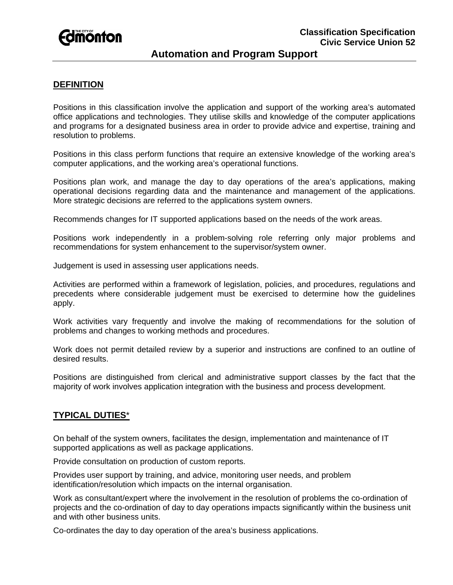

# **Automation and Program Support**

## **DEFINITION**

Positions in this classification involve the application and support of the working area's automated office applications and technologies. They utilise skills and knowledge of the computer applications and programs for a designated business area in order to provide advice and expertise, training and resolution to problems.

Positions in this class perform functions that require an extensive knowledge of the working area's computer applications, and the working area's operational functions.

Positions plan work, and manage the day to day operations of the area's applications, making operational decisions regarding data and the maintenance and management of the applications. More strategic decisions are referred to the applications system owners.

Recommends changes for IT supported applications based on the needs of the work areas.

Positions work independently in a problem-solving role referring only major problems and recommendations for system enhancement to the supervisor/system owner.

Judgement is used in assessing user applications needs.

Activities are performed within a framework of legislation, policies, and procedures, regulations and precedents where considerable judgement must be exercised to determine how the guidelines apply.

Work activities vary frequently and involve the making of recommendations for the solution of problems and changes to working methods and procedures.

Work does not permit detailed review by a superior and instructions are confined to an outline of desired results.

Positions are distinguished from clerical and administrative support classes by the fact that the majority of work involves application integration with the business and process development.

## **TYPICAL DUTIES**\*

On behalf of the system owners, facilitates the design, implementation and maintenance of IT supported applications as well as package applications.

Provide consultation on production of custom reports.

Provides user support by training, and advice, monitoring user needs, and problem identification/resolution which impacts on the internal organisation.

Work as consultant/expert where the involvement in the resolution of problems the co-ordination of projects and the co-ordination of day to day operations impacts significantly within the business unit and with other business units.

Co-ordinates the day to day operation of the area's business applications.